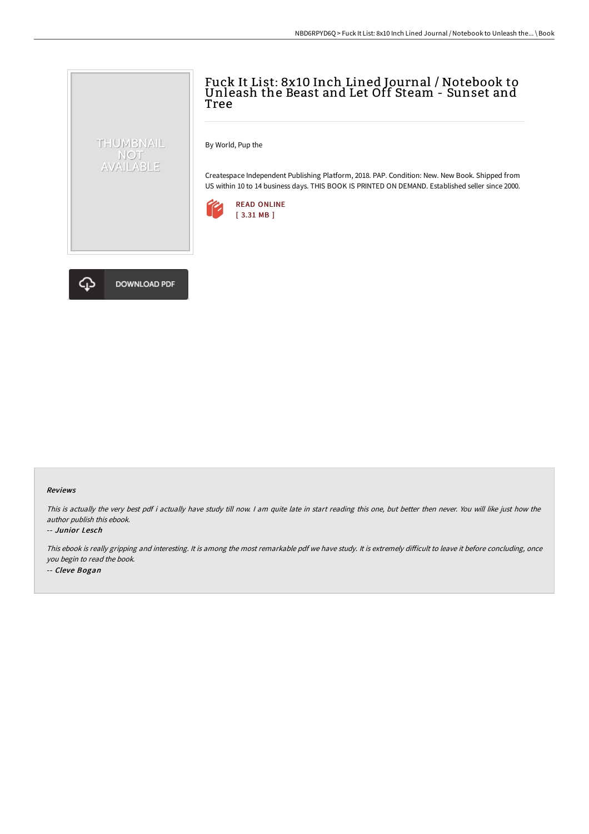## Fuck It List: 8x10 Inch Lined Journal / Notebook to Unleash the Beast and Let Off Steam - Sunset and Tree

By World, Pup the

Createspace Independent Publishing Platform, 2018. PAP. Condition: New. New Book. Shipped from US within 10 to 14 business days. THIS BOOK IS PRINTED ON DEMAND. Established seller since 2000.





THUMBNAIL NOT<br>AVAILABLE

## Reviews

This is actually the very best pdf i actually have study till now. I am quite late in start reading this one, but better then never. You will like just how the author publish this ebook.

## -- Junior Lesch

This ebook is really gripping and interesting. It is among the most remarkable pdf we have study. It is extremely difficult to leave it before concluding, once you begin to read the book. -- Cleve Bogan